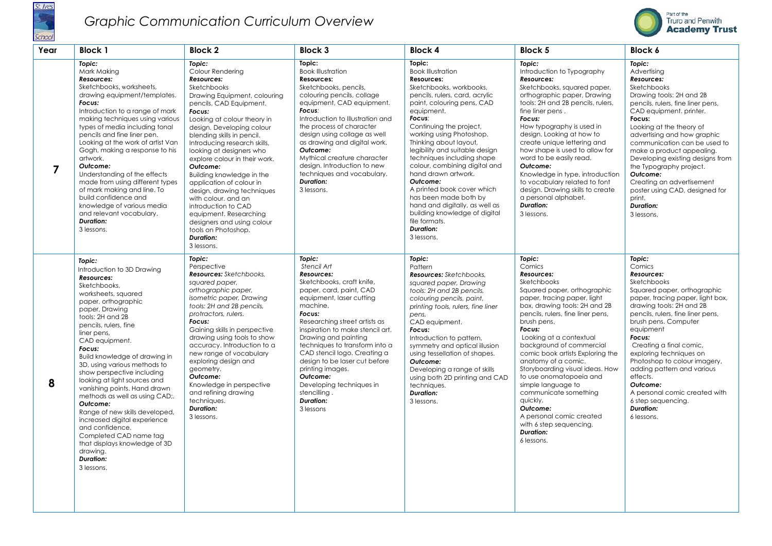

## *Graphic Communication Curriculum Overview*



| Year           | <b>Block 1</b>                                                                                                                                                                                                                                                                                                                                                                                                                                                                                                                                                                                                                        | <b>Block 2</b>                                                                                                                                                                                                                                                                                                                                                                                                                                                                                                                                                                        | <b>Block 3</b>                                                                                                                                                                                                                                                                                                                                                                                                                                                   | <b>Block 4</b>                                                                                                                                                                                                                                                                                                                                                                                                                                                                                                                                                        | <b>Block 5</b>                                                                                                                                                                                                                                                                                                                                                                                                                                                                                                                                             | <b>Block 6</b>                                                                                                                                                                                                                                                                                                                                                                                                                                                         |
|----------------|---------------------------------------------------------------------------------------------------------------------------------------------------------------------------------------------------------------------------------------------------------------------------------------------------------------------------------------------------------------------------------------------------------------------------------------------------------------------------------------------------------------------------------------------------------------------------------------------------------------------------------------|---------------------------------------------------------------------------------------------------------------------------------------------------------------------------------------------------------------------------------------------------------------------------------------------------------------------------------------------------------------------------------------------------------------------------------------------------------------------------------------------------------------------------------------------------------------------------------------|------------------------------------------------------------------------------------------------------------------------------------------------------------------------------------------------------------------------------------------------------------------------------------------------------------------------------------------------------------------------------------------------------------------------------------------------------------------|-----------------------------------------------------------------------------------------------------------------------------------------------------------------------------------------------------------------------------------------------------------------------------------------------------------------------------------------------------------------------------------------------------------------------------------------------------------------------------------------------------------------------------------------------------------------------|------------------------------------------------------------------------------------------------------------------------------------------------------------------------------------------------------------------------------------------------------------------------------------------------------------------------------------------------------------------------------------------------------------------------------------------------------------------------------------------------------------------------------------------------------------|------------------------------------------------------------------------------------------------------------------------------------------------------------------------------------------------------------------------------------------------------------------------------------------------------------------------------------------------------------------------------------------------------------------------------------------------------------------------|
| $\overline{7}$ | Topic:<br>Mark Making<br>Resources:<br>Sketchbooks, worksheets,<br>drawing equipment/templates.<br>Focus:<br>Introduction to a range of mark<br>making techniques using various<br>types of media including tonal<br>pencils and fine liner pen.<br>Looking at the work of artist Van<br>Gogh, making a response to his<br>artwork.<br>Outcome:<br>Understanding of the effects<br>made from using different types<br>of mark making and line. To<br>build confidence and<br>knowledge of various media<br>and relevant vocabulary.<br><b>Duration:</b><br>3 lessons.                                                                 | Topic:<br>Colour Rendering<br>Resources:<br>Sketchbooks<br>Drawing Equipment, colouring<br>pencils, CAD Equipment.<br>Focus:<br>Looking at colour theory in<br>design. Developing colour<br>blending skills in pencil.<br>Introducing research skills,<br>looking at designers who<br>explore colour in their work.<br>Outcome:<br>Building knowledge in the<br>application of colour in<br>design, drawing techniques<br>with colour, and an<br>introduction to CAD<br>equipment, Researching<br>designers and using colour<br>tools on Photoshop.<br><b>Duration:</b><br>3 lessons. | Topic:<br><b>Book Illustration</b><br>Resources:<br>Sketchbooks, pencils,<br>colouring pencils, collage<br>equipment, CAD equipment.<br>Focus:<br>Introduction to Illustration and<br>the process of character<br>design using collage as well<br>as drawing and digital work.<br>Outcome:<br>Mythical creature character<br>design. Introduction to new<br>techniques and vocabulary.<br><b>Duration:</b><br>3 lessons.                                         | Topic:<br><b>Book Illustration</b><br>Resources:<br>Sketchbooks, workbooks,<br>pencils, rulers, card, acrylic<br>paint, colouring pens, CAD<br>equipment.<br>Focus:<br>Continuing the project,<br>working using Photoshop.<br>Thinking about layout,<br>legibility and suitable design<br>techniques including shape<br>colour, combining digital and<br>hand drawn artwork.<br>Outcome:<br>A printed book cover which<br>has been made both by<br>hand and digitally, as well as<br>building knowledge of digital<br>file formats.<br><b>Duration:</b><br>3 lessons. | Topic:<br>Introduction to Typography<br>Resources:<br>Sketchbooks, squared paper,<br>orthographic paper, Drawing<br>tools: 2H and 2B pencils, rulers,<br>fine liner pens.<br>Focus:<br>How typography is used in<br>design. Looking at how to<br>create unique lettering and<br>how shape is used to allow for<br>word to be easily read.<br>Outcome:<br>Knowledge in type, introduction<br>to vocabulary related to font<br>design. Drawing skills to create<br>a personal alphabet.<br><b>Duration:</b><br>3 lessons.                                    | Topic:<br>Advertising<br>Resources:<br>Sketchbooks<br>Drawing tools: 2H and 2B<br>pencils, rulers, fine liner pens,<br>CAD equipment, printer.<br>Focus:<br>Looking at the theory of<br>advertising and how graphic<br>communication can be used to<br>make a product appealing.<br>Developing existing designs from<br>the Typography project.<br>Outcome:<br>Creating an advertisement<br>poster using CAD, designed for<br>print.<br><b>Duration:</b><br>3 lessons. |
| 8              | Topic:<br>Introduction to 3D Drawing<br>Resources:<br>Sketchbooks,<br>worksheets, squared<br>paper, orthographic<br>paper, Drawing<br>tools: 2H and 2B<br>pencils, rulers, fine<br>liner pens,<br>CAD equipment.<br>Focus:<br>Build knowledge of drawing in<br>3D, using various methods to<br>show perspective including<br>looking at light sources and<br>vanishing points. Hand drawn<br>methods as well as using CAD;.<br>Outcome:<br>Range of new skills developed,<br>increased digital experience<br>and confidence.<br>Completed CAD name tag<br>that displays knowledge of 3D<br>drawing.<br><b>Duration:</b><br>3 lessons. | Topic:<br>Perspective<br><b>Resources:</b> Sketchbooks,<br>squared paper,<br>orthographic paper,<br>isometric paper, Drawing<br>tools: 2H and 2B pencils,<br>protractors, rulers.<br>Focus:<br>Gaining skills in perspective<br>drawing using tools to show<br>accuracy. Introduction to a<br>new range of vocabulary<br>exploring design and<br>geometry.<br>Outcome:<br>Knowledge in perspective<br>and refining drawing<br>techniques.<br><b>Duration:</b><br>3 lessons.                                                                                                           | Topic:<br>Stencil Art<br><b>Resources:</b><br>Sketchbooks, craft knife,<br>paper, card, paint, CAD<br>equipment, laser cutting<br>machine.<br>Focus:<br>Researching street artists as<br>inspiration to make stencil art.<br>Drawing and painting<br>techniques to transform into a<br>CAD stencil logo. Creating a<br>design to be laser cut before<br>printing images.<br>Outcome:<br>Developing techniques in<br>stencilling<br><b>Duration:</b><br>3 lessons | Topic:<br>Pattern<br><b>Resources:</b> Sketchbooks,<br>squared paper, Drawing<br>tools: 2H and 2B pencils,<br>colouring pencils, paint,<br>printing tools, rulers, fine liner<br>pens,<br>CAD equipment.<br>Focus:<br>Introduction to pattern,<br>symmetry and optical illusion<br>using tessellation of shapes.<br>Outcome:<br>Developing a range of skills<br>using both 2D printing and CAD<br>techniques.<br><b>Duration:</b><br>3 lessons.                                                                                                                       | Topic:<br>Comics<br>Resources:<br>Sketchbooks<br>Squared paper, orthographic<br>paper, tracing paper, light<br>box, drawing tools: 2H and 2B<br>pencils, rulers, fine liner pens,<br>brush pens.<br>Focus:<br>Looking at a contextual<br>background of commercial<br>comic book artists Exploring the<br>anatomy of a comic.<br>Storyboarding visual ideas. How<br>to use onomatopoeia and<br>simple language to<br>communicate something<br>quickly.<br>Outcome:<br>A personal comic created<br>with 6 step sequencing.<br><b>Duration:</b><br>6 lessons. | Topic:<br>Comics<br>Resources:<br>Sketchbooks<br>Squared paper, orthographic<br>paper, tracing paper, light box,<br>drawing tools: 2H and 2B<br>pencils, rulers, fine liner pens,<br>brush pens. Computer<br>equipment<br>Focus:<br>Creating a final comic,<br>exploring techniques on<br>Photoshop to colour imagery,<br>adding pattern and various<br>effects.<br>Outcome:<br>A personal comic created with<br>6 step sequencing.<br><b>Duration:</b><br>6 lessons.  |